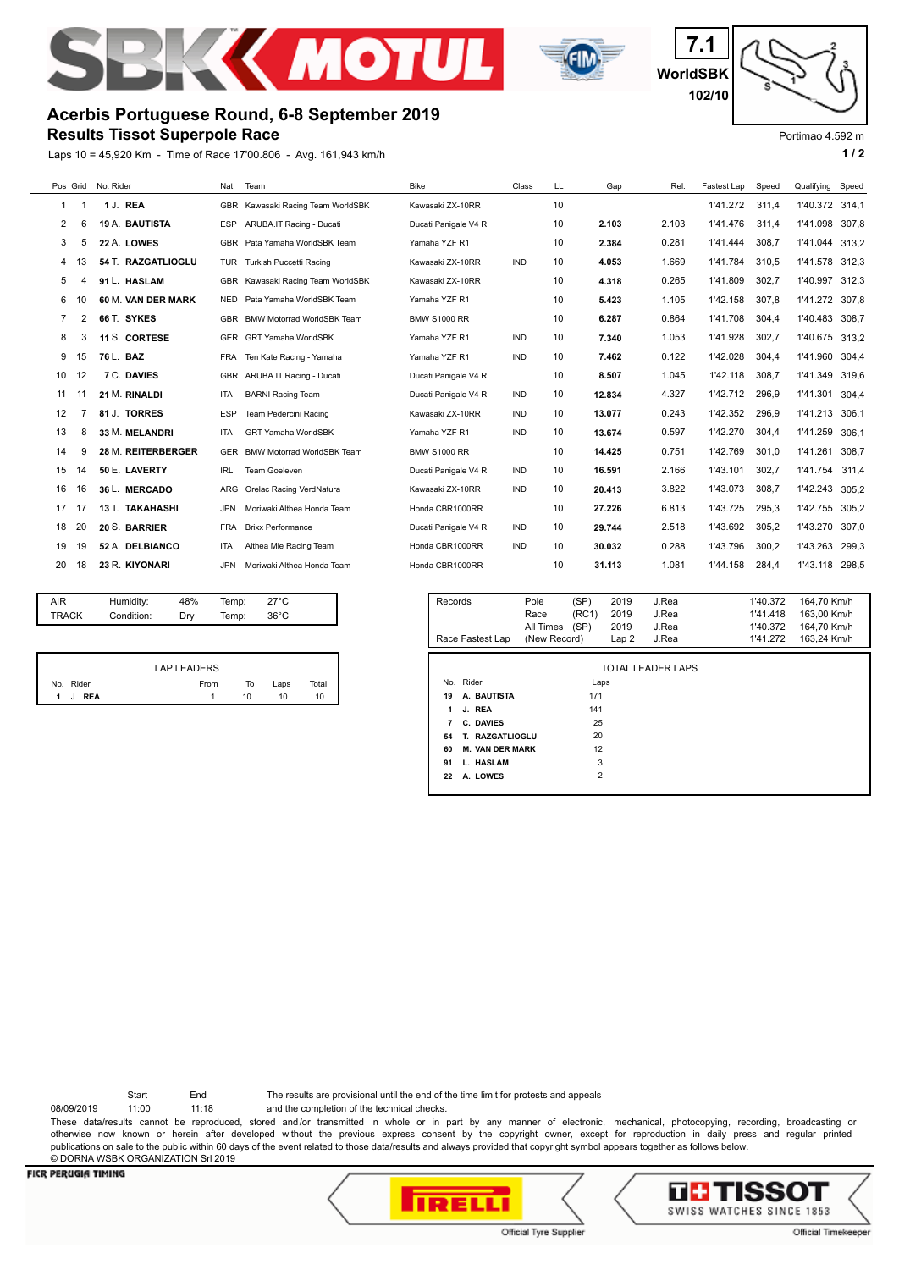



**WorldSBK 7.1 102/10**

## **Acerbis Portuguese Round, 6-8 September 2019**

**Results Tissot Superpole Race**

Laps 10 = 45,920 Km - Time of Race 17'00.806 - Avg. 161,943 km/h **1 and 1 and 1 and 1 and 1 and 1 a** 1 a



|    | Pos Grid | No. Rider              | Nat        | Team                              | <b>Bike</b>          | Class      | LL | Gap    | Rel   | Fastest Lap | Speed | Qualifying | Speed |
|----|----------|------------------------|------------|-----------------------------------|----------------------|------------|----|--------|-------|-------------|-------|------------|-------|
| 1  |          | 1 J. REA               | <b>GBR</b> | Kawasaki Racing Team WorldSBK     | Kawasaki ZX-10RR     |            | 10 |        |       | 1'41.272    | 311,4 | 1'40.372   | 314,1 |
| 2  | 6        | 19 A. BAUTISTA         | <b>ESP</b> | ARUBA.IT Racing - Ducati          | Ducati Panigale V4 R |            | 10 | 2.103  | 2.103 | 1'41.476    | 311.4 | 1'41.098   | 307,8 |
| 3  | 5        | 22 A. LOWES            | GBR        | Pata Yamaha WorldSBK Team         | Yamaha YZF R1        |            | 10 | 2.384  | 0.281 | 1'41.444    | 308.7 | 1'41.044   | 313.2 |
| 4  | 13       | 54 T. RAZGATLIOGLU     | TUR        | Turkish Puccetti Racing           | Kawasaki ZX-10RR     | <b>IND</b> | 10 | 4.053  | 1.669 | 1'41.784    | 310,5 | 1'41.578   | 312.3 |
| 5  |          | 91 L. HASLAM           | GBR        | Kawasaki Racing Team WorldSBK     | Kawasaki ZX-10RR     |            | 10 | 4.318  | 0.265 | 1'41.809    | 302.7 | 1'40.997   | 312.3 |
| 6  | 10       | 60 M. VAN DER MARK     | <b>NED</b> | Pata Yamaha WorldSBK Team         | Yamaha YZF R1        |            | 10 | 5.423  | 1.105 | 1'42.158    | 307.8 | 1'41.272   | 307.8 |
| 7  | 2        | 66 T. SYKES            | GBR        | <b>BMW Motorrad WorldSBK Team</b> | <b>BMW S1000 RR</b>  |            | 10 | 6.287  | 0.864 | 1'41.708    | 304.4 | 1'40.483   | 308.7 |
| 8  | 3        | 11 S. CORTESE          | GER        | <b>GRT Yamaha WorldSBK</b>        | Yamaha YZF R1        | <b>IND</b> | 10 | 7.340  | 1.053 | 1'41.928    | 302.7 | 1'40.675   | 313.2 |
| 9  | 15       | 76 L. BAZ              | <b>FRA</b> | Ten Kate Racing - Yamaha          | Yamaha YZF R1        | <b>IND</b> | 10 | 7.462  | 0.122 | 1'42.028    | 304.4 | 1'41.960   | 304.4 |
| 10 | 12       | 7 C. DAVIES            | <b>GBR</b> | ARUBA.IT Racing - Ducati          | Ducati Panigale V4 R |            | 10 | 8.507  | 1.045 | 1'42.118    | 308,7 | 1'41.349   | 319.6 |
| 11 | 11       | 21 M. RINALDI          | <b>ITA</b> | <b>BARNI Racing Team</b>          | Ducati Panigale V4 R | <b>IND</b> | 10 | 12.834 | 4.327 | 1'42.712    | 296,9 | 1'41.301   | 304,4 |
| 12 |          | 81 J. TORRES           | <b>ESP</b> | Team Pedercini Racing             | Kawasaki ZX-10RR     | <b>IND</b> | 10 | 13.077 | 0.243 | 1'42.352    | 296.9 | 1'41.213   | 306.1 |
| 13 | 8        | 33 M. MELANDRI         | <b>ITA</b> | <b>GRT Yamaha WorldSBK</b>        | Yamaha YZF R1        | <b>IND</b> | 10 | 13.674 | 0.597 | 1'42.270    | 304.4 | 1'41.259   | 306,1 |
| 14 | g        | 28 M. REITERBERGER     | <b>GER</b> | <b>BMW Motorrad WorldSBK Team</b> | <b>BMW S1000 RR</b>  |            | 10 | 14.425 | 0.751 | 1'42.769    | 301.0 | 1'41.261   | 308,7 |
| 15 | 14       | 50 E. LAVERTY          | <b>IRL</b> | <b>Team Goeleven</b>              | Ducati Panigale V4 R | <b>IND</b> | 10 | 16.591 | 2.166 | 1'43.101    | 302.7 | 1'41.754   | 311.4 |
| 16 | 16       | 36 L. MERCADO          | ARG        | Orelac Racing VerdNatura          | Kawasaki ZX-10RR     | <b>IND</b> | 10 | 20.413 | 3.822 | 1'43.073    | 308,7 | 1'42.243   | 305.2 |
| 17 | 17       | <b>13 T. TAKAHASHI</b> | <b>JPN</b> | Moriwaki Althea Honda Team        | Honda CBR1000RR      |            | 10 | 27.226 | 6.813 | 1'43.725    | 295,3 | 1'42.755   | 305,2 |
| 18 | 20       | 20 S. BARRIER          | <b>FRA</b> | <b>Brixx Performance</b>          | Ducati Panigale V4 R | <b>IND</b> | 10 | 29.744 | 2.518 | 1'43.692    | 305.2 | 1'43.270   | 307.0 |
| 19 | 19       | 52 A. DELBIANCO        | <b>ITA</b> | Althea Mie Racing Team            | Honda CBR1000RR      | <b>IND</b> | 10 | 30.032 | 0.288 | 1'43.796    | 300.2 | 1'43.263   | 299.3 |
| 20 | 18       | 23 R. KIYONARI         | JPN.       | Moriwaki Althea Honda Team        | Honda CBR1000RR      |            | 10 | 31.113 | 1.081 | 1'44.158    | 284.4 | 1'43.118   | 298.5 |
|    |          |                        |            |                                   |                      |            |    |        |       |             |       |            |       |

| AIR          | Humidity:  | 48% | Temp: | $27^{\circ}$ C |  |
|--------------|------------|-----|-------|----------------|--|
| <b>TRACK</b> | Condition: | Drv | Temp: | $36^{\circ}$ C |  |
|              |            |     |       |                |  |

|           | <b>LAP LEADERS</b> |    |      |       |
|-----------|--------------------|----|------|-------|
| No. Rider | From               | То | Laps | Total |
| 1 J. REA  |                    | 10 | 10   | 10    |

| Records                               | Pole         | (SP)           | 2019 | J.Rea             | 1'40.372 | 164,70 Km/h |
|---------------------------------------|--------------|----------------|------|-------------------|----------|-------------|
|                                       | Race         | (RC1)          | 2019 | J.Rea             | 1'41.418 | 163.00 Km/h |
|                                       | All Times    | (SP)           | 2019 | J.Rea             | 1'40.372 | 164,70 Km/h |
| Race Fastest Lap                      | (New Record) |                | Lap2 | J.Rea             | 1'41.272 | 163,24 Km/h |
|                                       |              |                |      |                   |          |             |
|                                       |              |                |      | TOTAL LEADER LAPS |          |             |
| Rider<br>No.                          |              | Laps           |      |                   |          |             |
| A. BAUTISTA<br>19                     |              | 171            |      |                   |          |             |
| J. REA<br>1                           |              | 141            |      |                   |          |             |
| C. DAVIES<br>$\overline{\phantom{a}}$ |              | 25             |      |                   |          |             |
| 54<br>T. RAZGATLIOGLU                 |              | 20             |      |                   |          |             |
| <b>M. VAN DER MARK</b><br>60          |              | 12             |      |                   |          |             |
| 91<br>L. HASLAM                       |              | 3              |      |                   |          |             |
| A. LOWES<br>22                        |              | $\overline{2}$ |      |                   |          |             |
|                                       |              |                |      |                   |          |             |
|                                       |              |                |      |                   |          |             |

Start End The results are provisional until the end of the time limit for protests and appeals

08/09/2019 11:00 11:18 and the completion of the technical checks.

These data/results cannot be reproduced, stored and/or transmitted in whole or in part by any manner of electronic, mechanical, photocopying, recording, broadcasting or otherwise now known or herein after developed without the previous express consent by the copyright owner, except for reproduction in daily press and regular printed publications on sale to the public within 60 days of the event related to those data/results and always provided that copyright symbol appears together as follows below. © DORNA WSBK ORGANIZATION Srl 2019

## **FICR PERUGIA TIMING**